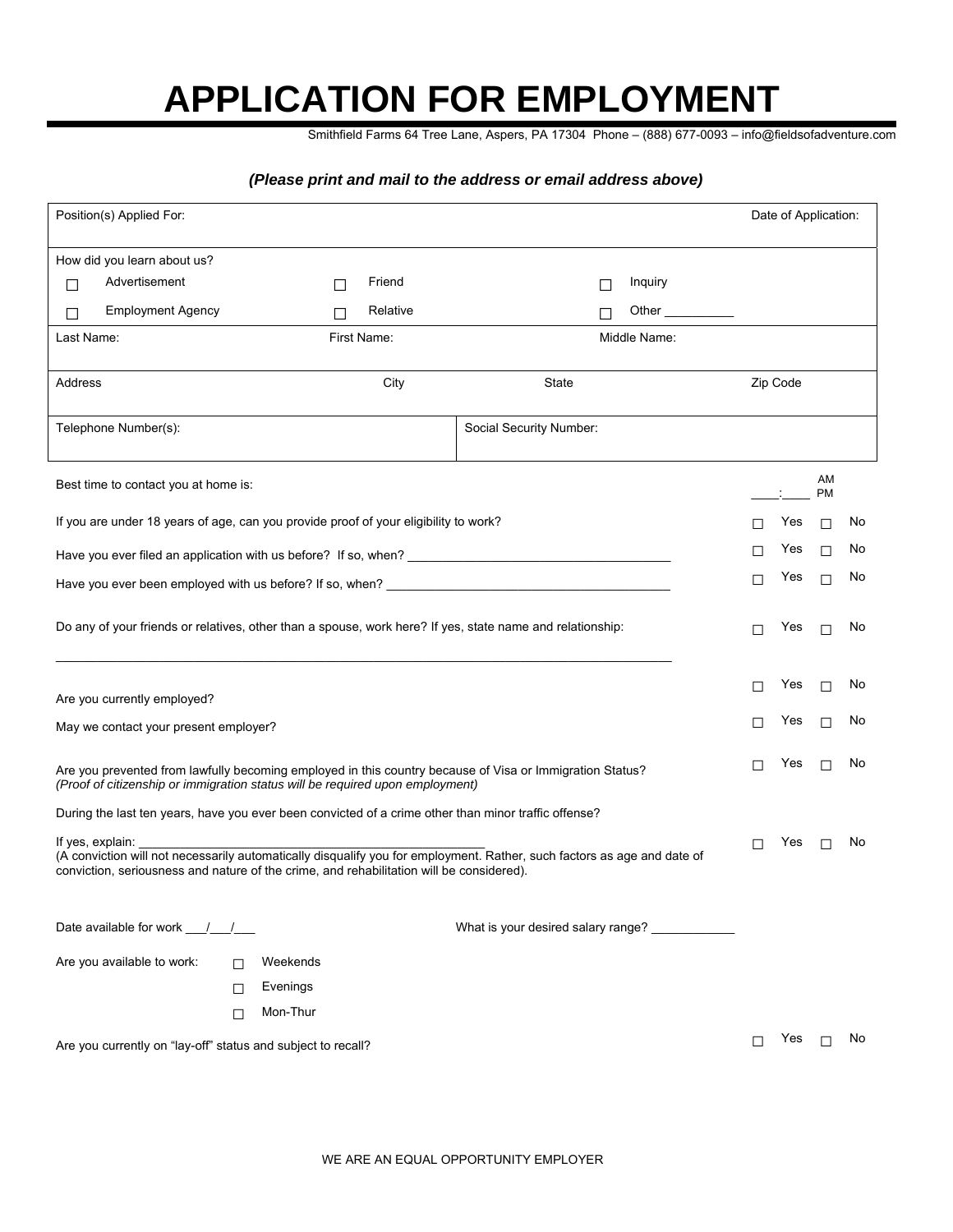## **APPLICATION FOR EMPLOYMENT**

Smithfield Farms 64 Tree Lane, Aspers, PA 17304 Phone – (888) 677-0093 – info@fieldsofadventure.com

## *(Please print and mail to the address or email address above)*

| Position(s) Applied For:                                                                                                                                                                                                                |                                      |        |              |             |          |  |                                                                                                      | Date of Application: |              |    |          |                 |  |
|-----------------------------------------------------------------------------------------------------------------------------------------------------------------------------------------------------------------------------------------|--------------------------------------|--------|--------------|-------------|----------|--|------------------------------------------------------------------------------------------------------|----------------------|--------------|----|----------|-----------------|--|
|                                                                                                                                                                                                                                         | How did you learn about us?          |        |              |             |          |  |                                                                                                      |                      |              |    |          |                 |  |
| П                                                                                                                                                                                                                                       | Advertisement                        |        | $\mathsf{L}$ |             | Friend   |  |                                                                                                      | П                    | Inquiry      |    |          |                 |  |
| П                                                                                                                                                                                                                                       | <b>Employment Agency</b>             |        | П            |             | Relative |  |                                                                                                      | П                    | Other        |    |          |                 |  |
| Last Name:                                                                                                                                                                                                                              |                                      |        |              | First Name: |          |  |                                                                                                      |                      | Middle Name: |    |          |                 |  |
| Address                                                                                                                                                                                                                                 |                                      |        |              |             | City     |  | State                                                                                                |                      |              |    | Zip Code |                 |  |
| Telephone Number(s):                                                                                                                                                                                                                    |                                      |        |              |             |          |  | Social Security Number:                                                                              |                      |              |    |          |                 |  |
|                                                                                                                                                                                                                                         | Best time to contact you at home is: |        |              |             |          |  |                                                                                                      |                      |              |    |          | AM<br><b>PM</b> |  |
| If you are under 18 years of age, can you provide proof of your eligibility to work?                                                                                                                                                    |                                      |        |              |             |          |  | H                                                                                                    | Yes                  | $\Box$       | No |          |                 |  |
|                                                                                                                                                                                                                                         |                                      |        |              |             |          |  |                                                                                                      | Yes                  | $\Box$       | No |          |                 |  |
|                                                                                                                                                                                                                                         |                                      |        |              |             |          |  |                                                                                                      | Yes                  |              | No |          |                 |  |
| $\Box$<br>П<br>Have you ever been employed with us before? If so, when? _______________________                                                                                                                                         |                                      |        |              |             |          |  |                                                                                                      |                      |              |    |          |                 |  |
| Do any of your friends or relatives, other than a spouse, work here? If yes, state name and relationship:                                                                                                                               |                                      |        |              |             |          |  | п                                                                                                    | Yes                  | П            | No |          |                 |  |
| Are you currently employed?                                                                                                                                                                                                             |                                      |        |              |             |          |  | П                                                                                                    | Yes                  | $\Box$       | No |          |                 |  |
| May we contact your present employer?                                                                                                                                                                                                   |                                      |        |              |             |          |  | П                                                                                                    | Yes                  | $\Box$       | No |          |                 |  |
| Are you prevented from lawfully becoming employed in this country because of Visa or Immigration Status?<br>(Proof of citizenship or immigration status will be required upon employment)                                               |                                      |        |              |             |          |  |                                                                                                      | Yes                  | П            | No |          |                 |  |
|                                                                                                                                                                                                                                         |                                      |        |              |             |          |  | During the last ten years, have you ever been convicted of a crime other than minor traffic offense? |                      |              |    |          |                 |  |
| If yes, explain:<br>(A conviction will not necessarily automatically disqualify you for employment. Rather, such factors as age and date of<br>conviction, seriousness and nature of the crime, and rehabilitation will be considered). |                                      |        |              |             |          |  | П                                                                                                    | Yes                  | $\Box$       | No |          |                 |  |
|                                                                                                                                                                                                                                         |                                      |        |              |             |          |  |                                                                                                      |                      |              |    |          |                 |  |
|                                                                                                                                                                                                                                         |                                      |        |              |             |          |  | What is your desired salary range?                                                                   |                      |              |    |          |                 |  |
|                                                                                                                                                                                                                                         | Are you available to work:           | П      | Weekends     |             |          |  |                                                                                                      |                      |              |    |          |                 |  |
|                                                                                                                                                                                                                                         |                                      | П      | Evenings     |             |          |  |                                                                                                      |                      |              |    |          |                 |  |
|                                                                                                                                                                                                                                         |                                      | $\Box$ | Mon-Thur     |             |          |  |                                                                                                      |                      |              |    |          |                 |  |
| Are you currently on "lay-off" status and subject to recall?                                                                                                                                                                            |                                      |        |              |             |          |  |                                                                                                      | Yes $\Box$           |              | No |          |                 |  |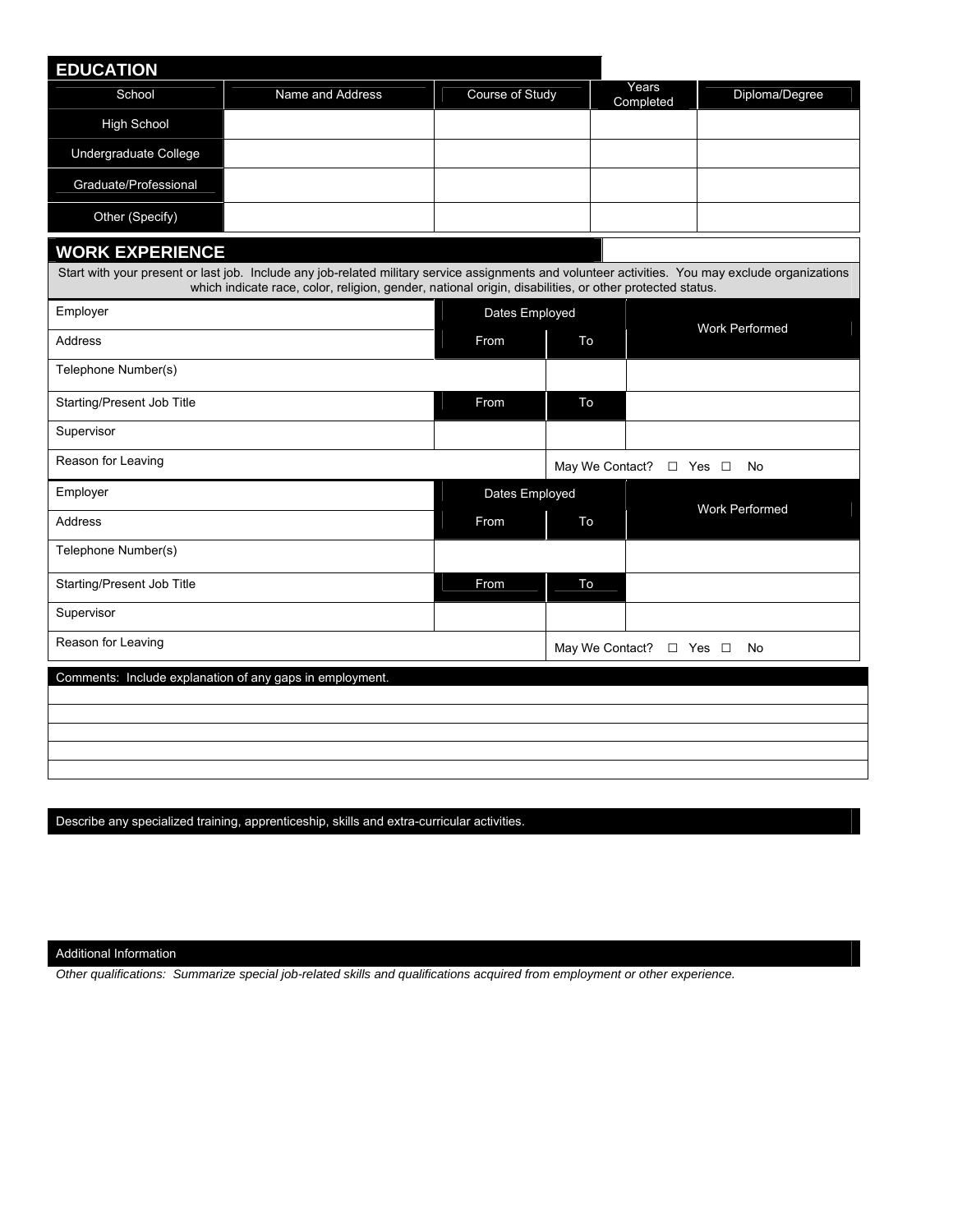| <b>EDUCATION</b>                                         |                                                                                                                                                                                                                                                              |                 |    |                            |                |  |
|----------------------------------------------------------|--------------------------------------------------------------------------------------------------------------------------------------------------------------------------------------------------------------------------------------------------------------|-----------------|----|----------------------------|----------------|--|
| School                                                   | Name and Address                                                                                                                                                                                                                                             | Course of Study |    | Years<br>Completed         | Diploma/Degree |  |
| <b>High School</b>                                       |                                                                                                                                                                                                                                                              |                 |    |                            |                |  |
| Undergraduate College                                    |                                                                                                                                                                                                                                                              |                 |    |                            |                |  |
| Graduate/Professional                                    |                                                                                                                                                                                                                                                              |                 |    |                            |                |  |
| Other (Specify)                                          |                                                                                                                                                                                                                                                              |                 |    |                            |                |  |
| <b>WORK EXPERIENCE</b>                                   |                                                                                                                                                                                                                                                              |                 |    |                            |                |  |
|                                                          | Start with your present or last job. Include any job-related military service assignments and volunteer activities. You may exclude organizations<br>which indicate race, color, religion, gender, national origin, disabilities, or other protected status. |                 |    |                            |                |  |
| Employer                                                 |                                                                                                                                                                                                                                                              | Dates Employed  |    |                            |                |  |
| <b>Address</b>                                           | From                                                                                                                                                                                                                                                         | To              |    | <b>Work Performed</b>      |                |  |
| Telephone Number(s)                                      |                                                                                                                                                                                                                                                              |                 |    |                            |                |  |
| Starting/Present Job Title                               |                                                                                                                                                                                                                                                              | From            | To |                            |                |  |
| Supervisor                                               |                                                                                                                                                                                                                                                              |                 |    |                            |                |  |
| Reason for Leaving                                       |                                                                                                                                                                                                                                                              |                 |    | May We Contact? □ Yes □    | No             |  |
| Employer                                                 |                                                                                                                                                                                                                                                              | Dates Employed  |    |                            | Work Performed |  |
| Address                                                  |                                                                                                                                                                                                                                                              | From            | To |                            |                |  |
| Telephone Number(s)                                      |                                                                                                                                                                                                                                                              |                 |    |                            |                |  |
| Starting/Present Job Title                               |                                                                                                                                                                                                                                                              | From            | To |                            |                |  |
| Supervisor                                               |                                                                                                                                                                                                                                                              |                 |    |                            |                |  |
| Reason for Leaving                                       |                                                                                                                                                                                                                                                              |                 |    | May We Contact? □ Yes □ No |                |  |
| Comments: Include explanation of any gaps in employment. |                                                                                                                                                                                                                                                              |                 |    |                            |                |  |
|                                                          |                                                                                                                                                                                                                                                              |                 |    |                            |                |  |
|                                                          |                                                                                                                                                                                                                                                              |                 |    |                            |                |  |
|                                                          |                                                                                                                                                                                                                                                              |                 |    |                            |                |  |

Describe any specialized training, apprenticeship, skills and extra-curricular activities.

Additional Information

*Other qualifications: Summarize special job-related skills and qualifications acquired from employment or other experience.*